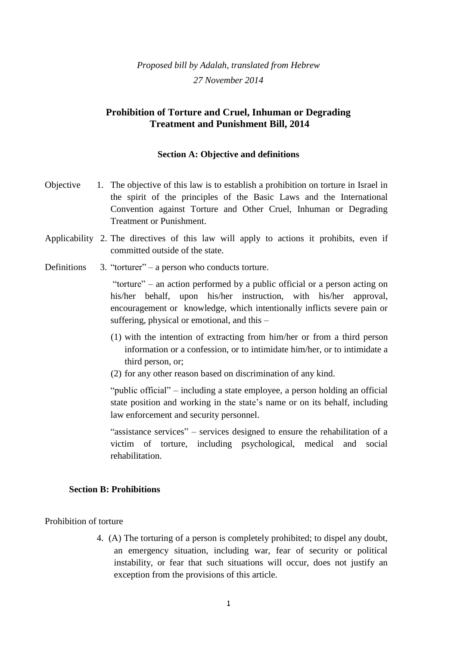*Proposed bill by Adalah, translated from Hebrew 27 November 2014*

# **Prohibition of Torture and Cruel, Inhuman or Degrading Treatment and Punishment Bill, 2014**

#### **Section A: Objective and definitions**

- Objective 1. The objective of this law is to establish a prohibition on torture in Israel in the spirit of the principles of the Basic Laws and the International Convention against Torture and Other Cruel, Inhuman or Degrading Treatment or Punishment.
- Applicability 2. The directives of this law will apply to actions it prohibits, even if committed outside of the state.
- Definitions 3. "torturer" a person who conducts torture.

"torture" – an action performed by a public official or a person acting on his/her behalf, upon his/her instruction, with his/her approval, encouragement or knowledge, which intentionally inflicts severe pain or suffering, physical or emotional, and this –

- (1) with the intention of extracting from him/her or from a third person information or a confession, or to intimidate him/her, or to intimidate a third person, or;
- (2) for any other reason based on discrimination of any kind.

"public official" – including a state employee, a person holding an official state position and working in the state's name or on its behalf, including law enforcement and security personnel.

"assistance services" – services designed to ensure the rehabilitation of a victim of torture, including psychological, medical and social rehabilitation.

#### **Section B: Prohibitions**

### Prohibition of torture

4. (A) The torturing of a person is completely prohibited; to dispel any doubt, an emergency situation, including war, fear of security or political instability, or fear that such situations will occur, does not justify an exception from the provisions of this article.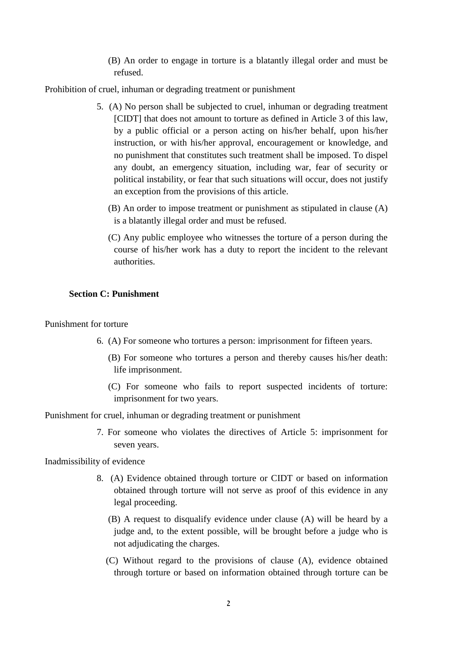(B) An order to engage in torture is a blatantly illegal order and must be refused.

Prohibition of cruel, inhuman or degrading treatment or punishment

- 5. (A) No person shall be subjected to cruel, inhuman or degrading treatment [CIDT] that does not amount to torture as defined in Article 3 of this law, by a public official or a person acting on his/her behalf, upon his/her instruction, or with his/her approval, encouragement or knowledge, and no punishment that constitutes such treatment shall be imposed. To dispel any doubt, an emergency situation, including war, fear of security or political instability, or fear that such situations will occur, does not justify an exception from the provisions of this article.
	- (B) An order to impose treatment or punishment as stipulated in clause (A) is a blatantly illegal order and must be refused.
	- (C) Any public employee who witnesses the torture of a person during the course of his/her work has a duty to report the incident to the relevant authorities.

## **Section C: Punishment**

Punishment for torture

- 6. (A) For someone who tortures a person: imprisonment for fifteen years.
	- (B) For someone who tortures a person and thereby causes his/her death: life imprisonment.
	- (C) For someone who fails to report suspected incidents of torture: imprisonment for two years.

Punishment for cruel, inhuman or degrading treatment or punishment

7. For someone who violates the directives of Article 5: imprisonment for seven years.

Inadmissibility of evidence

- 8. (A) Evidence obtained through torture or CIDT or based on information obtained through torture will not serve as proof of this evidence in any legal proceeding.
	- (B) A request to disqualify evidence under clause (A) will be heard by a judge and, to the extent possible, will be brought before a judge who is not adjudicating the charges.
	- (C) Without regard to the provisions of clause (A), evidence obtained through torture or based on information obtained through torture can be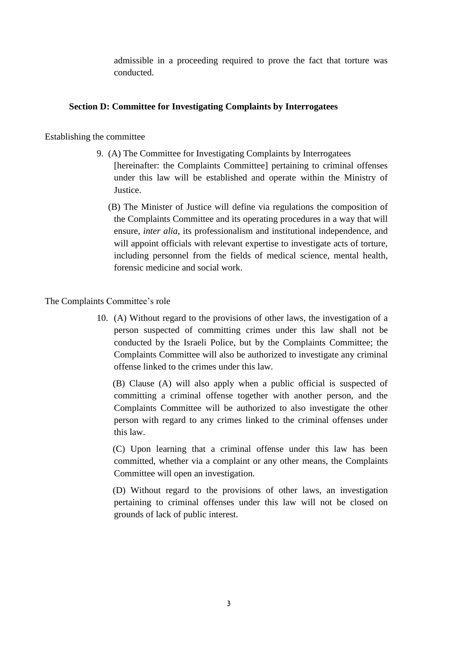admissible in a proceeding required to prove the fact that torture was conducted.

# **Section D: Committee for Investigating Complaints by Interrogatees**

Establishing the committee

- 9. (A) The Committee for Investigating Complaints by Interrogatees [hereinafter: the Complaints Committee] pertaining to criminal offenses under this law will be established and operate within the Ministry of Justice.
	- (B) The Minister of Justice will define via regulations the composition of the Complaints Committee and its operating procedures in a way that will ensure, *inter alia*, its professionalism and institutional independence, and will appoint officials with relevant expertise to investigate acts of torture, including personnel from the fields of medical science, mental health, forensic medicine and social work.

The Complaints Committee's role

10. (A) Without regard to the provisions of other laws, the investigation of a person suspected of committing crimes under this law shall not be conducted by the Israeli Police, but by the Complaints Committee; the Complaints Committee will also be authorized to investigate any criminal offense linked to the crimes under this law.

 (B) Clause (A) will also apply when a public official is suspected of committing a criminal offense together with another person, and the Complaints Committee will be authorized to also investigate the other person with regard to any crimes linked to the criminal offenses under this law.

 (C) Upon learning that a criminal offense under this law has been committed, whether via a complaint or any other means, the Complaints Committee will open an investigation.

 (D) Without regard to the provisions of other laws, an investigation pertaining to criminal offenses under this law will not be closed on grounds of lack of public interest.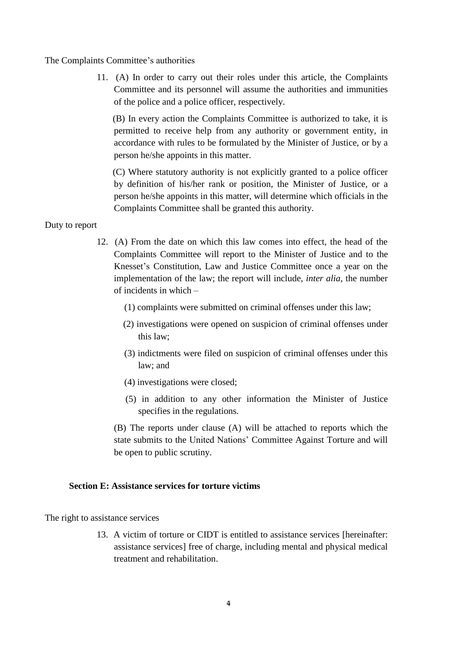The Complaints Committee's authorities

11. (A) In order to carry out their roles under this article, the Complaints Committee and its personnel will assume the authorities and immunities of the police and a police officer, respectively.

 (B) In every action the Complaints Committee is authorized to take, it is permitted to receive help from any authority or government entity, in accordance with rules to be formulated by the Minister of Justice, or by a person he/she appoints in this matter.

 (C) Where statutory authority is not explicitly granted to a police officer by definition of his/her rank or position, the Minister of Justice, or a person he/she appoints in this matter, will determine which officials in the Complaints Committee shall be granted this authority.

## Duty to report

- 12. (A) From the date on which this law comes into effect, the head of the Complaints Committee will report to the Minister of Justice and to the Knesset's Constitution, Law and Justice Committee once a year on the implementation of the law; the report will include, *inter alia*, the number of incidents in which –
	- (1) complaints were submitted on criminal offenses under this law;
	- (2) investigations were opened on suspicion of criminal offenses under this law;
	- (3) indictments were filed on suspicion of criminal offenses under this law; and
	- (4) investigations were closed;
	- (5) in addition to any other information the Minister of Justice specifies in the regulations.

(B) The reports under clause (A) will be attached to reports which the state submits to the United Nations' Committee Against Torture and will be open to public scrutiny.

## **Section E: Assistance services for torture victims**

The right to assistance services

13. A victim of torture or CIDT is entitled to assistance services [hereinafter: assistance services] free of charge, including mental and physical medical treatment and rehabilitation.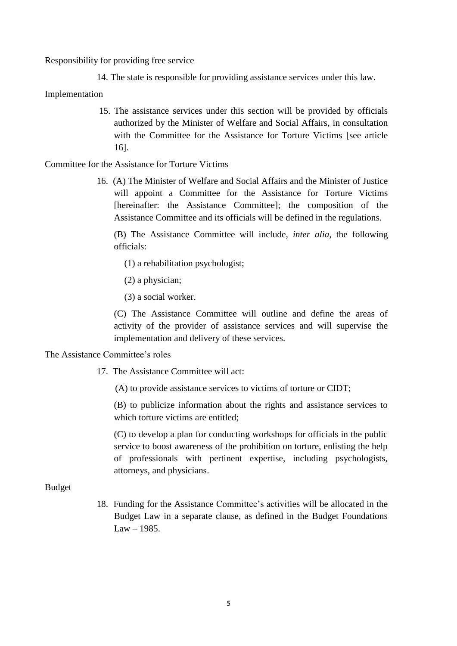Responsibility for providing free service

14. The state is responsible for providing assistance services under this law.

Implementation

15. The assistance services under this section will be provided by officials authorized by the Minister of Welfare and Social Affairs, in consultation with the Committee for the Assistance for Torture Victims [see article 16].

Committee for the Assistance for Torture Victims

16. (A) The Minister of Welfare and Social Affairs and the Minister of Justice will appoint a Committee for the Assistance for Torture Victims [hereinafter: the Assistance Committee]; the composition of the Assistance Committee and its officials will be defined in the regulations.

(B) The Assistance Committee will include, *inter alia*, the following officials:

- (1) a rehabilitation psychologist;
- (2) a physician;

(3) a social worker.

(C) The Assistance Committee will outline and define the areas of activity of the provider of assistance services and will supervise the implementation and delivery of these services.

#### The Assistance Committee's roles

- 17. The Assistance Committee will act:
	- (A) to provide assistance services to victims of torture or CIDT;

(B) to publicize information about the rights and assistance services to which torture victims are entitled;

(C) to develop a plan for conducting workshops for officials in the public service to boost awareness of the prohibition on torture, enlisting the help of professionals with pertinent expertise, including psychologists, attorneys, and physicians.

Budget

18. Funding for the Assistance Committee's activities will be allocated in the Budget Law in a separate clause, as defined in the Budget Foundations  $Law - 1985.$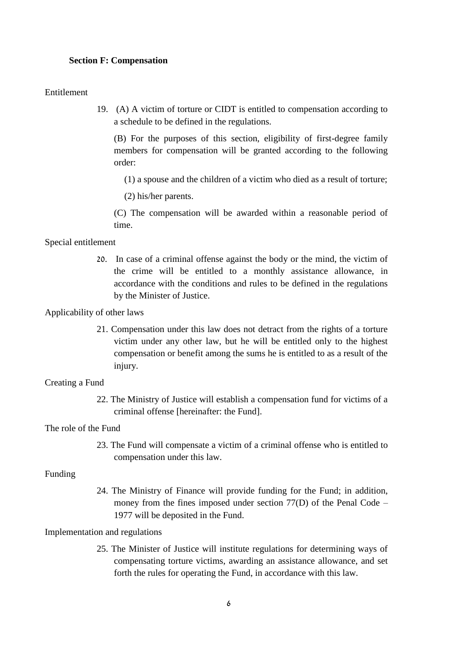### **Section F: Compensation**

### Entitlement

19. (A) A victim of torture or CIDT is entitled to compensation according to a schedule to be defined in the regulations.

(B) For the purposes of this section, eligibility of first-degree family members for compensation will be granted according to the following order:

(1) a spouse and the children of a victim who died as a result of torture;

(2) his/her parents.

(C) The compensation will be awarded within a reasonable period of time.

Special entitlement

20. In case of a criminal offense against the body or the mind, the victim of the crime will be entitled to a monthly assistance allowance, in accordance with the conditions and rules to be defined in the regulations by the Minister of Justice.

Applicability of other laws

21. Compensation under this law does not detract from the rights of a torture victim under any other law, but he will be entitled only to the highest compensation or benefit among the sums he is entitled to as a result of the injury.

## Creating a Fund

22. The Ministry of Justice will establish a compensation fund for victims of a criminal offense [hereinafter: the Fund].

The role of the Fund

23. The Fund will compensate a victim of a criminal offense who is entitled to compensation under this law.

#### Funding

24. The Ministry of Finance will provide funding for the Fund; in addition, money from the fines imposed under section 77(D) of the Penal Code – 1977 will be deposited in the Fund.

#### Implementation and regulations

25. The Minister of Justice will institute regulations for determining ways of compensating torture victims, awarding an assistance allowance, and set forth the rules for operating the Fund, in accordance with this law.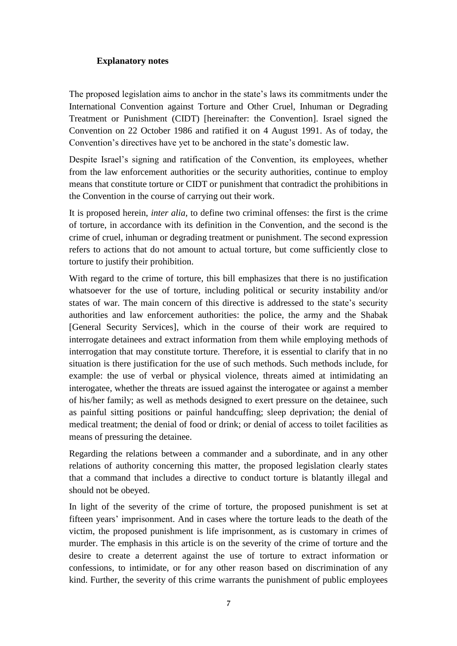# **Explanatory notes**

The proposed legislation aims to anchor in the state's laws its commitments under the International Convention against Torture and Other Cruel, Inhuman or Degrading Treatment or Punishment (CIDT) [hereinafter: the Convention]. Israel signed the Convention on 22 October 1986 and ratified it on 4 August 1991. As of today, the Convention's directives have yet to be anchored in the state's domestic law.

Despite Israel's signing and ratification of the Convention, its employees, whether from the law enforcement authorities or the security authorities, continue to employ means that constitute torture or CIDT or punishment that contradict the prohibitions in the Convention in the course of carrying out their work.

It is proposed herein, *inter alia*, to define two criminal offenses: the first is the crime of torture, in accordance with its definition in the Convention, and the second is the crime of cruel, inhuman or degrading treatment or punishment. The second expression refers to actions that do not amount to actual torture, but come sufficiently close to torture to justify their prohibition.

With regard to the crime of torture, this bill emphasizes that there is no justification whatsoever for the use of torture, including political or security instability and/or states of war. The main concern of this directive is addressed to the state's security authorities and law enforcement authorities: the police, the army and the Shabak [General Security Services], which in the course of their work are required to interrogate detainees and extract information from them while employing methods of interrogation that may constitute torture. Therefore, it is essential to clarify that in no situation is there justification for the use of such methods. Such methods include, for example: the use of verbal or physical violence, threats aimed at intimidating an interogatee, whether the threats are issued against the interogatee or against a member of his/her family; as well as methods designed to exert pressure on the detainee, such as painful sitting positions or painful handcuffing; sleep deprivation; the denial of medical treatment; the denial of food or drink; or denial of access to toilet facilities as means of pressuring the detainee.

Regarding the relations between a commander and a subordinate, and in any other relations of authority concerning this matter, the proposed legislation clearly states that a command that includes a directive to conduct torture is blatantly illegal and should not be obeyed.

In light of the severity of the crime of torture, the proposed punishment is set at fifteen years' imprisonment. And in cases where the torture leads to the death of the victim, the proposed punishment is life imprisonment, as is customary in crimes of murder. The emphasis in this article is on the severity of the crime of torture and the desire to create a deterrent against the use of torture to extract information or confessions, to intimidate, or for any other reason based on discrimination of any kind. Further, the severity of this crime warrants the punishment of public employees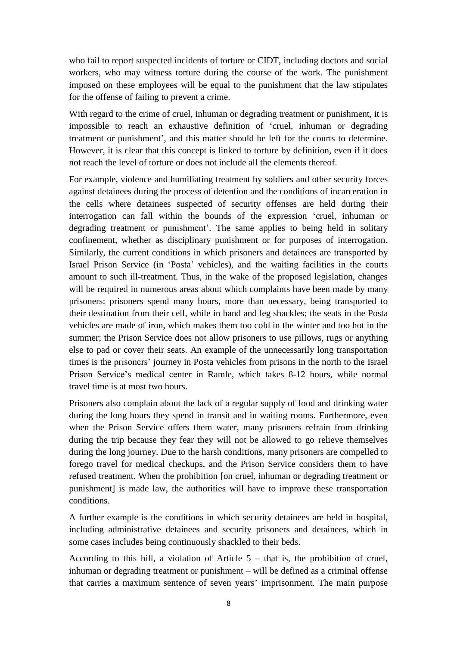who fail to report suspected incidents of torture or CIDT, including doctors and social workers, who may witness torture during the course of the work. The punishment imposed on these employees will be equal to the punishment that the law stipulates for the offense of failing to prevent a crime.

With regard to the crime of cruel, inhuman or degrading treatment or punishment, it is impossible to reach an exhaustive definition of 'cruel, inhuman or degrading treatment or punishment', and this matter should be left for the courts to determine. However, it is clear that this concept is linked to torture by definition, even if it does not reach the level of torture or does not include all the elements thereof.

For example, violence and humiliating treatment by soldiers and other security forces against detainees during the process of detention and the conditions of incarceration in the cells where detainees suspected of security offenses are held during their interrogation can fall within the bounds of the expression 'cruel, inhuman or degrading treatment or punishment'. The same applies to being held in solitary confinement, whether as disciplinary punishment or for purposes of interrogation. Similarly, the current conditions in which prisoners and detainees are transported by Israel Prison Service (in 'Posta' vehicles), and the waiting facilities in the courts amount to such ill-treatment. Thus, in the wake of the proposed legislation, changes will be required in numerous areas about which complaints have been made by many prisoners: prisoners spend many hours, more than necessary, being transported to their destination from their cell, while in hand and leg shackles; the seats in the Posta vehicles are made of iron, which makes them too cold in the winter and too hot in the summer; the Prison Service does not allow prisoners to use pillows, rugs or anything else to pad or cover their seats. An example of the unnecessarily long transportation times is the prisoners' journey in Posta vehicles from prisons in the north to the Israel Prison Service's medical center in Ramle, which takes 8-12 hours, while normal travel time is at most two hours.

Prisoners also complain about the lack of a regular supply of food and drinking water during the long hours they spend in transit and in waiting rooms. Furthermore, even when the Prison Service offers them water, many prisoners refrain from drinking during the trip because they fear they will not be allowed to go relieve themselves during the long journey. Due to the harsh conditions, many prisoners are compelled to forego travel for medical checkups, and the Prison Service considers them to have refused treatment. When the prohibition [on cruel, inhuman or degrading treatment or punishment] is made law, the authorities will have to improve these transportation conditions.

A further example is the conditions in which security detainees are held in hospital, including administrative detainees and security prisoners and detainees, which in some cases includes being continuously shackled to their beds.

According to this bill, a violation of Article  $5 -$  that is, the prohibition of cruel, inhuman or degrading treatment or punishment – will be defined as a criminal offense that carries a maximum sentence of seven years' imprisonment. The main purpose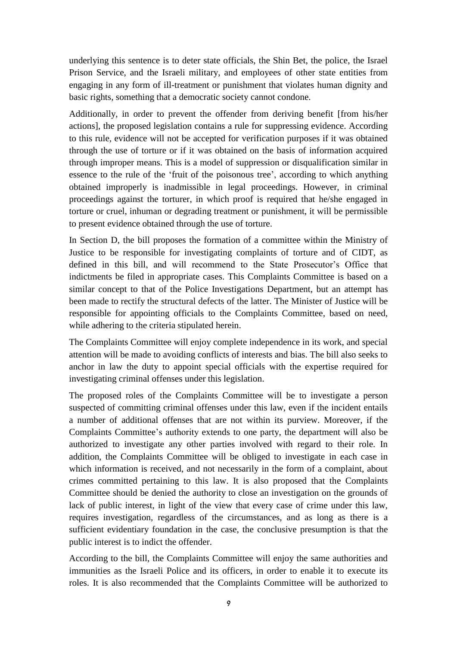underlying this sentence is to deter state officials, the Shin Bet, the police, the Israel Prison Service, and the Israeli military, and employees of other state entities from engaging in any form of ill-treatment or punishment that violates human dignity and basic rights, something that a democratic society cannot condone.

Additionally, in order to prevent the offender from deriving benefit [from his/her actions], the proposed legislation contains a rule for suppressing evidence. According to this rule, evidence will not be accepted for verification purposes if it was obtained through the use of torture or if it was obtained on the basis of information acquired through improper means. This is a model of suppression or disqualification similar in essence to the rule of the 'fruit of the poisonous tree', according to which anything obtained improperly is inadmissible in legal proceedings. However, in criminal proceedings against the torturer, in which proof is required that he/she engaged in torture or cruel, inhuman or degrading treatment or punishment, it will be permissible to present evidence obtained through the use of torture.

In Section D, the bill proposes the formation of a committee within the Ministry of Justice to be responsible for investigating complaints of torture and of CIDT, as defined in this bill, and will recommend to the State Prosecutor's Office that indictments be filed in appropriate cases. This Complaints Committee is based on a similar concept to that of the Police Investigations Department, but an attempt has been made to rectify the structural defects of the latter. The Minister of Justice will be responsible for appointing officials to the Complaints Committee, based on need, while adhering to the criteria stipulated herein.

The Complaints Committee will enjoy complete independence in its work, and special attention will be made to avoiding conflicts of interests and bias. The bill also seeks to anchor in law the duty to appoint special officials with the expertise required for investigating criminal offenses under this legislation.

The proposed roles of the Complaints Committee will be to investigate a person suspected of committing criminal offenses under this law, even if the incident entails a number of additional offenses that are not within its purview. Moreover, if the Complaints Committee's authority extends to one party, the department will also be authorized to investigate any other parties involved with regard to their role. In addition, the Complaints Committee will be obliged to investigate in each case in which information is received, and not necessarily in the form of a complaint, about crimes committed pertaining to this law. It is also proposed that the Complaints Committee should be denied the authority to close an investigation on the grounds of lack of public interest, in light of the view that every case of crime under this law, requires investigation, regardless of the circumstances, and as long as there is a sufficient evidentiary foundation in the case, the conclusive presumption is that the public interest is to indict the offender.

According to the bill, the Complaints Committee will enjoy the same authorities and immunities as the Israeli Police and its officers, in order to enable it to execute its roles. It is also recommended that the Complaints Committee will be authorized to